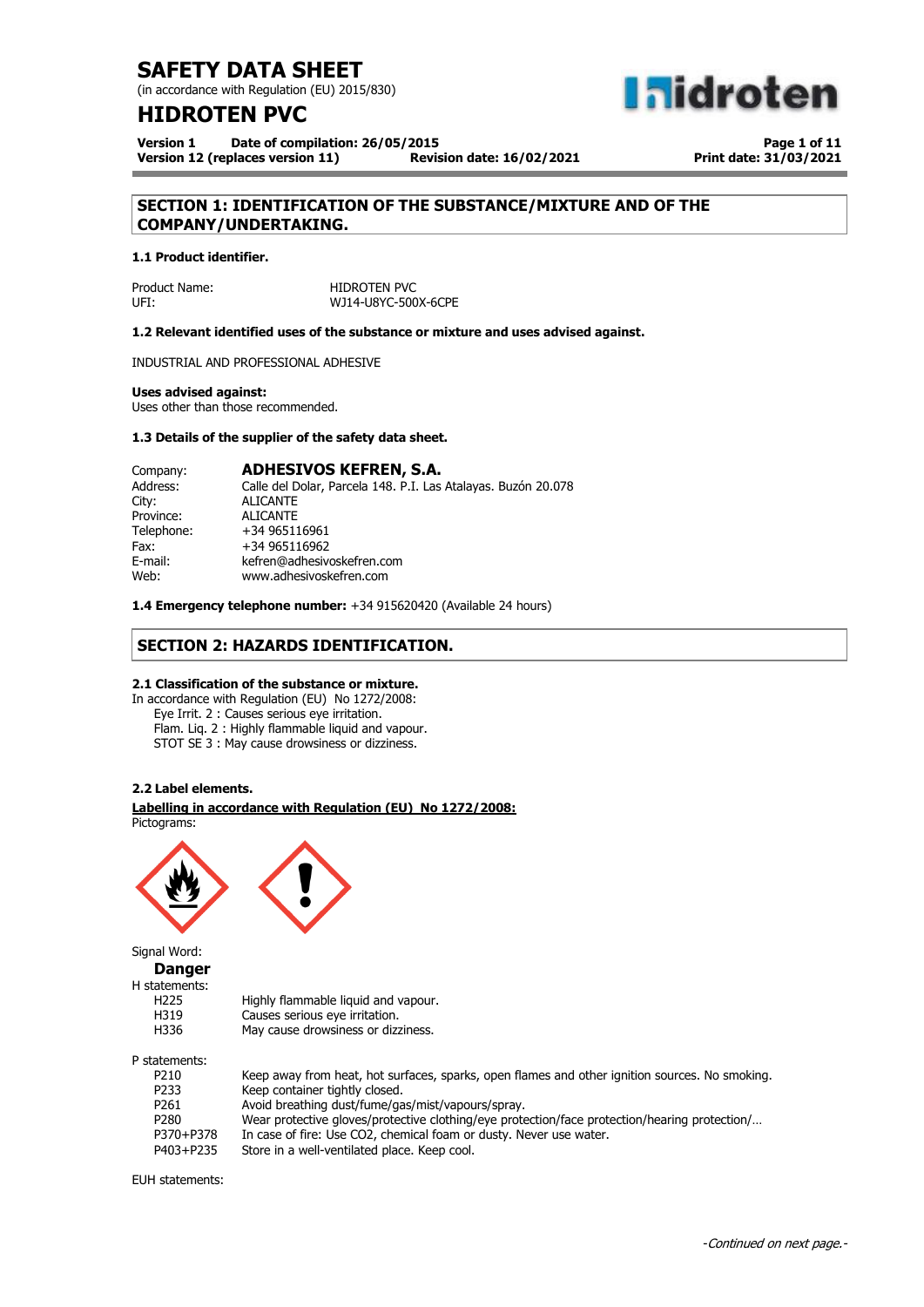(in accordance with Regulation (EU) 2015/830)

## **HIDROTEN PVC**

**Version 1 Date of compilation: 26/05/2015 Version 12 (replaces version 11)** 

**Page 1 of 11 Print date: 31/03/2021**

**a**idroten

## **SECTION 1: IDENTIFICATION OF THE SUBSTANCE/MIXTURE AND OF THE COMPANY/UNDERTAKING.**

#### **1.1 Product identifier.**

Product Name: HIDROTEN PVC UFI: WJ14-U8YC-500X-6CPE

**1.2 Relevant identified uses of the substance or mixture and uses advised against.**

INDUSTRIAL AND PROFESSIONAL ADHESIVE

#### **Uses advised against:**

Uses other than those recommended.

#### **1.3 Details of the supplier of the safety data sheet.**

| Company:   | <b>ADHESIVOS KEFREN, S.A.</b>                                 |
|------------|---------------------------------------------------------------|
| Address:   | Calle del Dolar, Parcela 148. P.I. Las Atalayas. Buzón 20.078 |
| City:      | <b>ALICANTE</b>                                               |
| Province:  | <b>ALICANTE</b>                                               |
| Telephone: | +34 965116961                                                 |
| Fax:       | +34 965116962                                                 |
| E-mail:    | kefren@adhesivoskefren.com                                    |
| Web:       | www.adhesivoskefren.com                                       |
|            |                                                               |

**1.4 Emergency telephone number:** +34 915620420 (Available 24 hours)

## **SECTION 2: HAZARDS IDENTIFICATION.**

#### **2.1 Classification of the substance or mixture.**

In accordance with Regulation (EU) No 1272/2008: Eye Irrit. 2 : Causes serious eye irritation. Flam. Liq. 2 : Highly flammable liquid and vapour. STOT SE 3 : May cause drowsiness or dizziness.

### **2.2 Label elements.**

#### . **Labelling in accordance with Regulation (EU) No 1272/2008:** Pictograms:



Signal Word:

**Danger**  $H<sub>S</sub>$ 

| H statements:    |                                     |
|------------------|-------------------------------------|
| H <sub>225</sub> | Highly flammable liquid and vapour. |
| H319             | Causes serious eye irritation.      |
| H336             | May cause drowsiness or dizziness.  |
| P statements:    |                                     |
|                  |                                     |

| ------------ |                                                                                                |
|--------------|------------------------------------------------------------------------------------------------|
| P210         | Keep away from heat, hot surfaces, sparks, open flames and other ignition sources. No smoking. |
| P233         | Keep container tightly closed.                                                                 |
| P261         | Avoid breathing dust/fume/gas/mist/vapours/spray.                                              |
| P280         | Wear protective gloves/protective clothing/eye protection/face protection/hearing protection/  |
| P370+P378    | In case of fire: Use CO2, chemical foam or dusty. Never use water.                             |
| P403+P235    | Store in a well-ventilated place. Keep cool.                                                   |
|              |                                                                                                |

EUH statements:

### -Continued on next page.-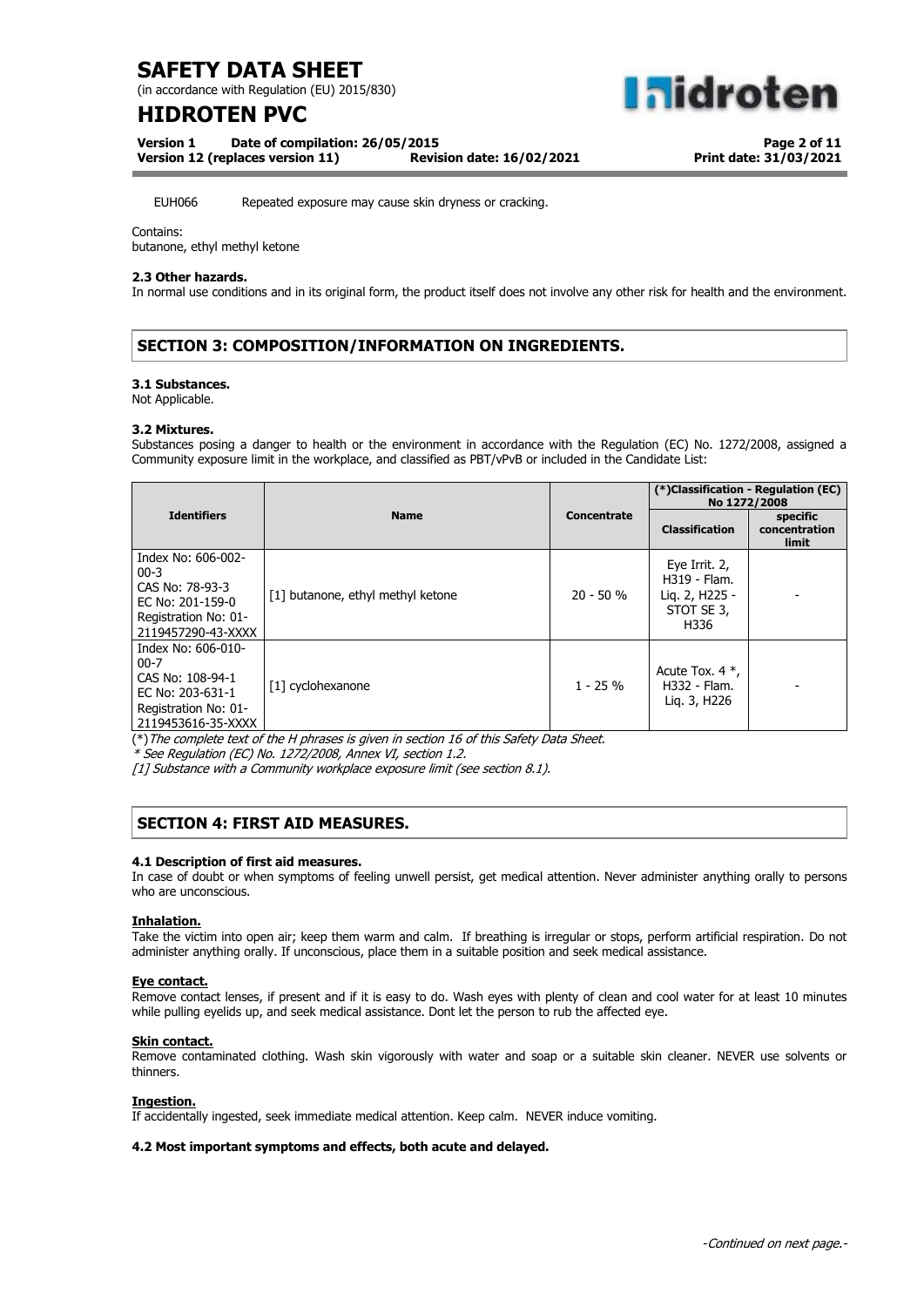(in accordance with Regulation (EU) 2015/830)

# **HIDROTEN PVC**

**aidroten** 

**Version 1 Date of compilation: 26/05/2015**

**Version 12 (replaces version 11) Revision date: 16/02/2021**

**Page 2 of 11 Print date: 31/03/2021**

EUH066 Repeated exposure may cause skin dryness or cracking.

Contains:

butanone, ethyl methyl ketone

### **2.3 Other hazards.**

In normal use conditions and in its original form, the product itself does not involve any other risk for health and the environment.

## **SECTION 3: COMPOSITION/INFORMATION ON INGREDIENTS.**

### **3.1 Substances.**

Not Applicable.

#### **3.2 Mixtures.**

Substances posing a danger to health or the environment in accordance with the Regulation (EC) No. 1272/2008, assigned a Community exposure limit in the workplace, and classified as PBT/vPvB or included in the Candidate List:

|                                                                                                                     |                                   |                    | (*)Classification - Regulation (EC)<br>No 1272/2008                   |                                           |
|---------------------------------------------------------------------------------------------------------------------|-----------------------------------|--------------------|-----------------------------------------------------------------------|-------------------------------------------|
| <b>Identifiers</b>                                                                                                  | <b>Name</b>                       | <b>Concentrate</b> | <b>Classification</b>                                                 | specific<br>concentration<br><b>limit</b> |
| Index No: 606-002-<br>$00 - 3$<br>CAS No: 78-93-3<br>EC No: 201-159-0<br>Registration No: 01-<br>2119457290-43-XXXX | [1] butanone, ethyl methyl ketone | $20 - 50 %$        | Eye Irrit. 2,<br>H319 - Flam.<br>Lig. 2, H225 -<br>STOT SE 3,<br>H336 |                                           |
| Index No: 606-010-<br>$00-7$<br>CAS No: 108-94-1<br>EC No: 203-631-1<br>Registration No: 01-<br>2119453616-35-XXXX  | [1] cyclohexanone                 | $1 - 25%$          | Acute Tox. $4$ $*$ ,<br>H332 - Flam.<br>Lig. 3, H226                  |                                           |

(\*)The complete text of the H phrases is given in section 16 of this Safety Data Sheet.

\* See Regulation (EC) No. 1272/2008, Annex VI, section 1.2.

[1] Substance with a Community workplace exposure limit (see section 8.1).

## **SECTION 4: FIRST AID MEASURES.**

#### **4.1 Description of first aid measures.**

In case of doubt or when symptoms of feeling unwell persist, get medical attention. Never administer anything orally to persons who are unconscious.

#### **Inhalation.**

Take the victim into open air; keep them warm and calm. If breathing is irregular or stops, perform artificial respiration. Do not administer anything orally. If unconscious, place them in a suitable position and seek medical assistance.

#### **Eye contact.**

Remove contact lenses, if present and if it is easy to do. Wash eyes with plenty of clean and cool water for at least 10 minutes while pulling eyelids up, and seek medical assistance. Dont let the person to rub the affected eye.

#### **Skin contact.**

Remove contaminated clothing. Wash skin vigorously with water and soap or a suitable skin cleaner. NEVER use solvents or thinners.

### **Ingestion.**

If accidentally ingested, seek immediate medical attention. Keep calm. NEVER induce vomiting.

### **4.2 Most important symptoms and effects, both acute and delayed.**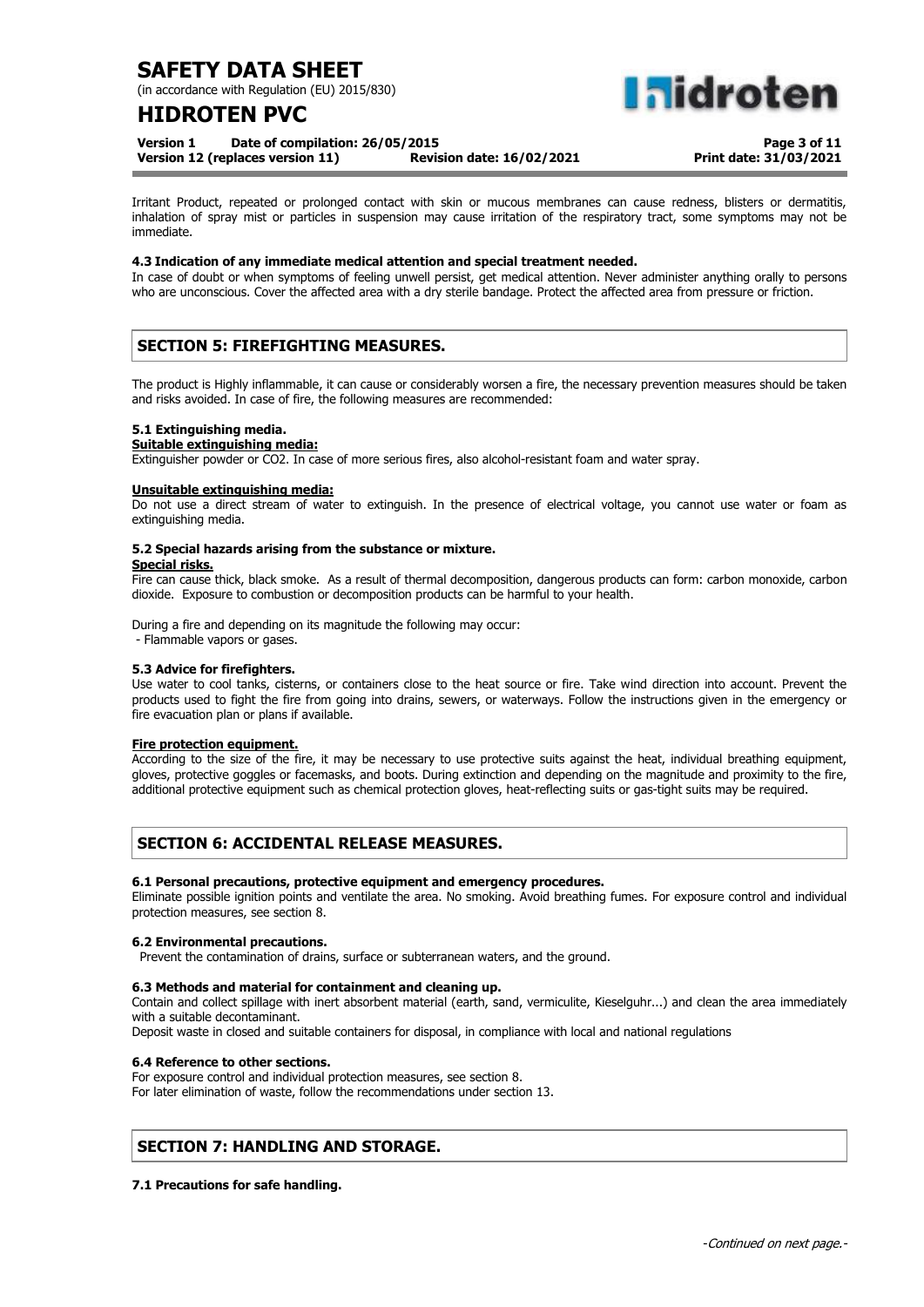(in accordance with Regulation (EU) 2015/830)

# **HIDROTEN PVC**

**aidrote** 

**Version 1 Date of compilation: 26/05/2015**

**Version 12 (replaces version 11) Revision date: 16/02/2021**

**Page 3 of 11 Print date: 31/03/2021**

Irritant Product, repeated or prolonged contact with skin or mucous membranes can cause redness, blisters or dermatitis, inhalation of spray mist or particles in suspension may cause irritation of the respiratory tract, some symptoms may not be immediate.

#### **4.3 Indication of any immediate medical attention and special treatment needed.**

In case of doubt or when symptoms of feeling unwell persist, get medical attention. Never administer anything orally to persons who are unconscious. Cover the affected area with a dry sterile bandage. Protect the affected area from pressure or friction.

## **SECTION 5: FIREFIGHTING MEASURES.**

The product is Highly inflammable, it can cause or considerably worsen a fire, the necessary prevention measures should be taken and risks avoided. In case of fire, the following measures are recommended:

#### **5.1 Extinguishing media.**

#### **Suitable extinguishing media:**

Extinguisher powder or CO2. In case of more serious fires, also alcohol-resistant foam and water spray.

#### **Unsuitable extinguishing media:**

Do not use a direct stream of water to extinguish. In the presence of electrical voltage, you cannot use water or foam as extinguishing media.

## **5.2 Special hazards arising from the substance or mixture.**

#### **Special risks.**

Fire can cause thick, black smoke. As a result of thermal decomposition, dangerous products can form: carbon monoxide, carbon dioxide. Exposure to combustion or decomposition products can be harmful to your health.

During a fire and depending on its magnitude the following may occur:

- Flammable vapors or gases.

#### **5.3 Advice for firefighters.**

Use water to cool tanks, cisterns, or containers close to the heat source or fire. Take wind direction into account. Prevent the products used to fight the fire from going into drains, sewers, or waterways. Follow the instructions given in the emergency or fire evacuation plan or plans if available.

#### **Fire protection equipment.**

According to the size of the fire, it may be necessary to use protective suits against the heat, individual breathing equipment, gloves, protective goggles or facemasks, and boots. During extinction and depending on the magnitude and proximity to the fire, additional protective equipment such as chemical protection gloves, heat-reflecting suits or gas-tight suits may be required.

## **SECTION 6: ACCIDENTAL RELEASE MEASURES.**

#### **6.1 Personal precautions, protective equipment and emergency procedures.**

Eliminate possible ignition points and ventilate the area. No smoking. Avoid breathing fumes. For exposure control and individual protection measures, see section 8.

#### **6.2 Environmental precautions.**

Prevent the contamination of drains, surface or subterranean waters, and the ground.

#### **6.3 Methods and material for containment and cleaning up.**

Contain and collect spillage with inert absorbent material (earth, sand, vermiculite, Kieselguhr...) and clean the area immediately with a suitable decontaminant.

Deposit waste in closed and suitable containers for disposal, in compliance with local and national regulations

#### **6.4 Reference to other sections.**

For exposure control and individual protection measures, see section 8. For later elimination of waste, follow the recommendations under section 13.

### **SECTION 7: HANDLING AND STORAGE.**

### **7.1 Precautions for safe handling.**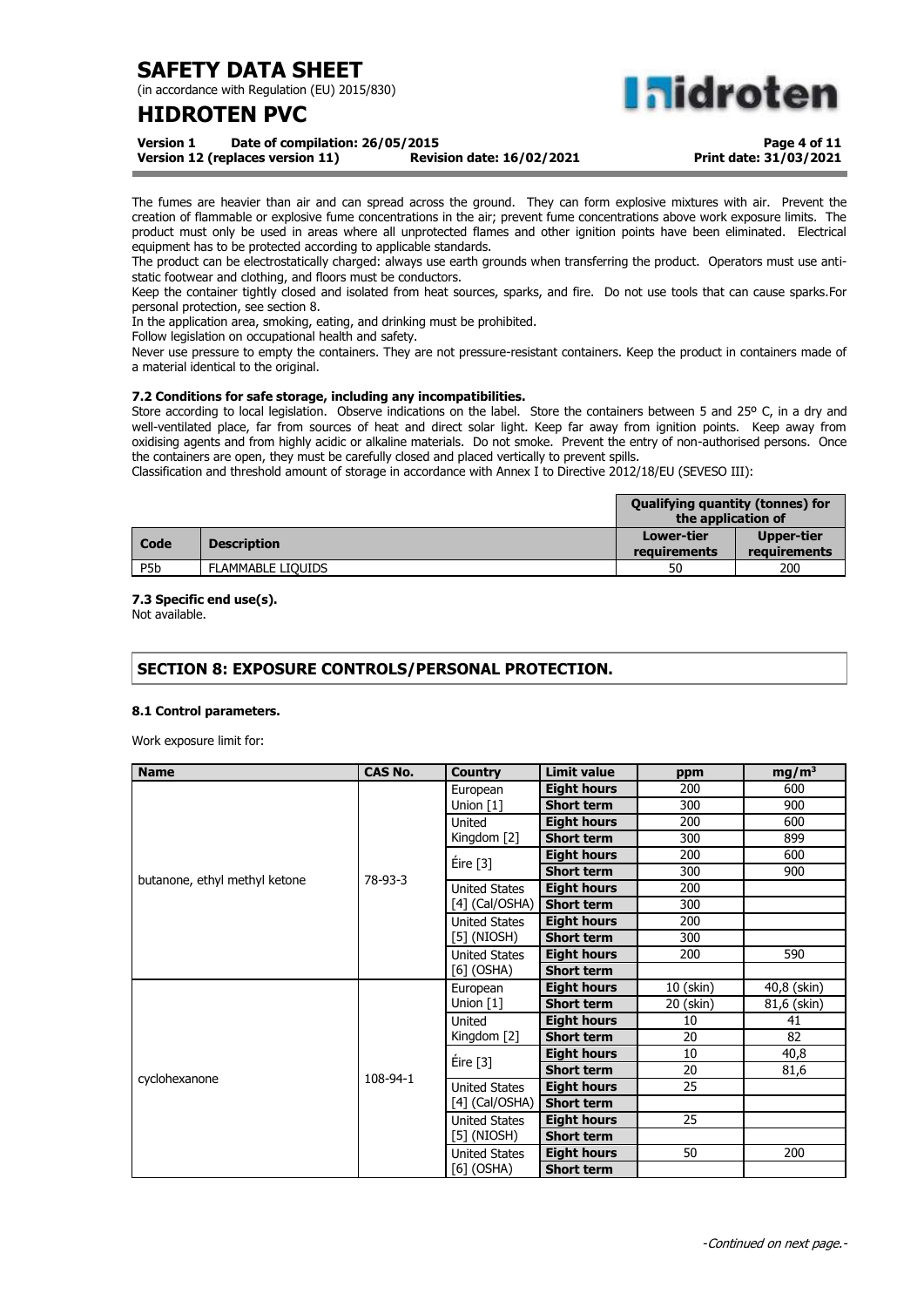(in accordance with Regulation (EU) 2015/830)

# **HIDROTEN PVC**

**Midroten** 

**Version 1 Date of compilation: 26/05/2015 Version 12 (replaces version 11)** 

**Page 4 of 11 Print date: 31/03/2021**

The fumes are heavier than air and can spread across the ground. They can form explosive mixtures with air. Prevent the creation of flammable or explosive fume concentrations in the air; prevent fume concentrations above work exposure limits. The product must only be used in areas where all unprotected flames and other ignition points have been eliminated. Electrical equipment has to be protected according to applicable standards.

The product can be electrostatically charged: always use earth grounds when transferring the product. Operators must use antistatic footwear and clothing, and floors must be conductors.

Keep the container tightly closed and isolated from heat sources, sparks, and fire. Do not use tools that can cause sparks.For personal protection, see section 8.

In the application area, smoking, eating, and drinking must be prohibited.

Follow legislation on occupational health and safety.

Never use pressure to empty the containers. They are not pressure-resistant containers. Keep the product in containers made of a material identical to the original.

### **7.2 Conditions for safe storage, including any incompatibilities.**

Store according to local legislation. Observe indications on the label. Store the containers between 5 and 25° C, in a dry and well-ventilated place, far from sources of heat and direct solar light. Keep far away from ignition points. Keep away from oxidising agents and from highly acidic or alkaline materials. Do not smoke. Prevent the entry of non-authorised persons. Once the containers are open, they must be carefully closed and placed vertically to prevent spills.

Classification and threshold amount of storage in accordance with Annex I to Directive 2012/18/EU (SEVESO III):

|                  |                          | <b>Qualifying quantity (tonnes) for</b><br>the application of |                            |
|------------------|--------------------------|---------------------------------------------------------------|----------------------------|
| Code             | <b>Description</b>       | Lower-tier<br>requirements                                    | Upper-tier<br>requirements |
| P <sub>5</sub> b | <b>FLAMMABLE LIOUIDS</b> | 50                                                            | 200                        |

#### **7.3 Specific end use(s).**

Not available.

## **SECTION 8: EXPOSURE CONTROLS/PERSONAL PROTECTION.**

#### **8.1 Control parameters.**

Work exposure limit for:

| <b>Name</b>                   | <b>CAS No.</b> | <b>Country</b>       | <b>Limit value</b> | ppm       | $mg/m^3$    |
|-------------------------------|----------------|----------------------|--------------------|-----------|-------------|
|                               |                | European             | <b>Eight hours</b> | 200       | 600         |
|                               |                | Union [1]            | <b>Short term</b>  | 300       | 900         |
|                               |                | United               | <b>Eight hours</b> | 200       | 600         |
|                               |                | Kingdom [2]          | <b>Short term</b>  | 300       | 899         |
|                               |                | Eire [3]             | <b>Eight hours</b> | 200       | 600         |
| butanone, ethyl methyl ketone | 78-93-3        |                      | <b>Short term</b>  | 300       | 900         |
|                               |                | <b>United States</b> | <b>Eight hours</b> | 200       |             |
|                               |                | $[4]$ (Cal/OSHA)     | <b>Short term</b>  | 300       |             |
|                               |                | <b>United States</b> | <b>Eight hours</b> | 200       |             |
|                               |                | $[5]$ (NIOSH)        | <b>Short term</b>  | 300       |             |
|                               |                | <b>United States</b> | <b>Eight hours</b> | 200       | 590         |
|                               |                | $[6]$ (OSHA)         | <b>Short term</b>  |           |             |
|                               |                | European             | <b>Eight hours</b> | 10 (skin) | 40,8 (skin) |
|                               |                | Union [1]            | <b>Short term</b>  | 20 (skin) | 81,6 (skin) |
|                               |                | United               | <b>Eight hours</b> | 10        | 41          |
|                               |                | Kingdom [2]          | <b>Short term</b>  | 20        | 82          |
|                               |                | Éire [3]             | <b>Eight hours</b> | 10        | 40,8        |
| cyclohexanone                 | 108-94-1       |                      | <b>Short term</b>  | 20        | 81,6        |
|                               |                | <b>United States</b> | <b>Eight hours</b> | 25        |             |
|                               |                | $[4]$ (Cal/OSHA)     | <b>Short term</b>  |           |             |
|                               |                | <b>United States</b> | <b>Eight hours</b> | 25        |             |
|                               |                | $[5]$ (NIOSH)        | <b>Short term</b>  |           |             |
|                               |                | <b>United States</b> | <b>Eight hours</b> | 50        | 200         |
|                               |                | [6] (OSHA)           | <b>Short term</b>  |           |             |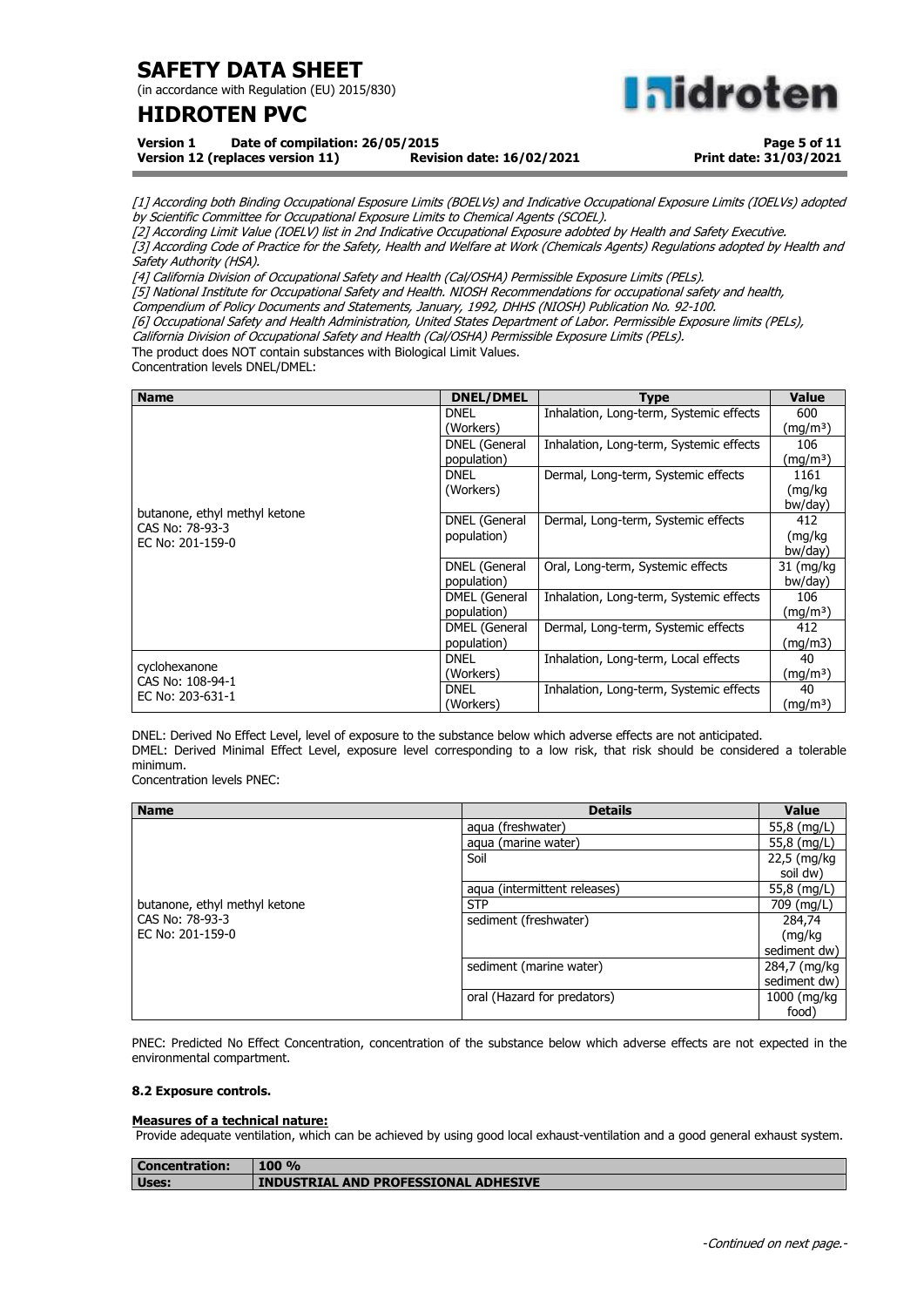(in accordance with Regulation (EU) 2015/830)

# **HIDROTEN PVC**

**nidroten** 

**Version 1 Date of compilation: 26/05/2015 Version 12 (replaces version 11)** 

**Page 5 of 11 Print date: 31/03/2021**

[1] According both Binding Occupational Esposure Limits (BOELVs) and Indicative Occupational Exposure Limits (IOELVs) adopted by Scientific Committee for Occupational Exposure Limits to Chemical Agents (SCOEL).

[2] According Limit Value (IOELV) list in 2nd Indicative Occupational Exposure adobted by Health and Safety Executive. [3] According Code of Practice for the Safety, Health and Welfare at Work (Chemicals Agents) Regulations adopted by Health and Safety Authority (HSA).

[4] California Division of Occupational Safety and Health (Cal/OSHA) Permissible Exposure Limits (PELs).

[5] National Institute for Occupational Safety and Health. NIOSH Recommendations for occupational safety and health,

Compendium of Policy Documents and Statements, January, 1992, DHHS (NIOSH) Publication No. 92-100.

[6] Occupational Safety and Health Administration, United States Department of Labor. Permissible Exposure limits (PELs),

California Division of Occupational Safety and Health (Cal/OSHA) Permissible Exposure Limits (PELs).

The product does NOT contain substances with Biological Limit Values.

Concentration levels DNEL/DMEL:

| <b>Name</b>                   | <b>DNEL/DMEL</b>     | <b>Type</b>                             | <b>Value</b>         |
|-------------------------------|----------------------|-----------------------------------------|----------------------|
|                               | <b>DNEL</b>          | Inhalation, Long-term, Systemic effects | 600                  |
|                               | (Workers)            |                                         | (mg/m <sup>3</sup> ) |
|                               | DNEL (General        | Inhalation, Long-term, Systemic effects | 106                  |
|                               | population)          |                                         | (mg/mª)              |
|                               | <b>DNEL</b>          | Dermal, Long-term, Systemic effects     | 1161                 |
|                               | (Workers)            |                                         | (mg/kg               |
| butanone, ethyl methyl ketone |                      |                                         | bw/day)              |
| CAS No: 78-93-3               | <b>DNEL</b> (General | Dermal, Long-term, Systemic effects     | 412                  |
| EC No: 201-159-0              | population)          |                                         | (mg/kg               |
|                               |                      |                                         | bw/day)              |
|                               | <b>DNEL</b> (General | Oral, Long-term, Systemic effects       | 31 (mg/kg)           |
|                               | population)          |                                         | bw/day)              |
|                               | DMEL (General        | Inhalation, Long-term, Systemic effects | 106                  |
|                               | population)          |                                         | (mg/m <sup>3</sup> ) |
|                               | DMEL (General        | Dermal, Long-term, Systemic effects     | 412                  |
|                               | population)          |                                         | (mg/m3)              |
| cyclohexanone                 | <b>DNEL</b>          | Inhalation, Long-term, Local effects    | 40                   |
| CAS No: 108-94-1              | (Workers)            |                                         | (mg/m <sup>3</sup> ) |
| EC No: 203-631-1              | <b>DNEL</b>          | Inhalation, Long-term, Systemic effects | 40                   |
|                               | (Workers)            |                                         | (mg/m <sup>3</sup> ) |

DNEL: Derived No Effect Level, level of exposure to the substance below which adverse effects are not anticipated. DMEL: Derived Minimal Effect Level, exposure level corresponding to a low risk, that risk should be considered a tolerable minimum.

Concentration levels PNEC:

| <b>Name</b>                   | <b>Details</b>               | <b>Value</b> |
|-------------------------------|------------------------------|--------------|
|                               | aqua (freshwater)            | 55,8 (mg/L)  |
|                               | aqua (marine water)          | 55,8 (mg/L)  |
|                               | Soil                         | 22,5 (mg/kg  |
|                               |                              | soil dw)     |
|                               | aqua (intermittent releases) | 55,8 (mg/L)  |
| butanone, ethyl methyl ketone | <b>STP</b>                   | 709 (mg/L)   |
| CAS No: 78-93-3               | sediment (freshwater)        | 284,74       |
| EC No: 201-159-0              |                              | (mg/kg       |
|                               |                              | sediment dw) |
|                               | sediment (marine water)      | 284,7 (mg/kg |
|                               |                              | sediment dw) |
|                               | oral (Hazard for predators)  | 1000 (mg/kg  |
|                               |                              | food)        |

PNEC: Predicted No Effect Concentration, concentration of the substance below which adverse effects are not expected in the environmental compartment.

#### **8.2 Exposure controls.**

#### **Measures of a technical nature:**

Provide adequate ventilation, which can be achieved by using good local exhaust-ventilation and a good general exhaust system.

| <b>Concentration:</b> | <b>100 %</b>                         |
|-----------------------|--------------------------------------|
| Uses:                 | INDUSTRIAL AND PROFESSIONAL ADHESIVE |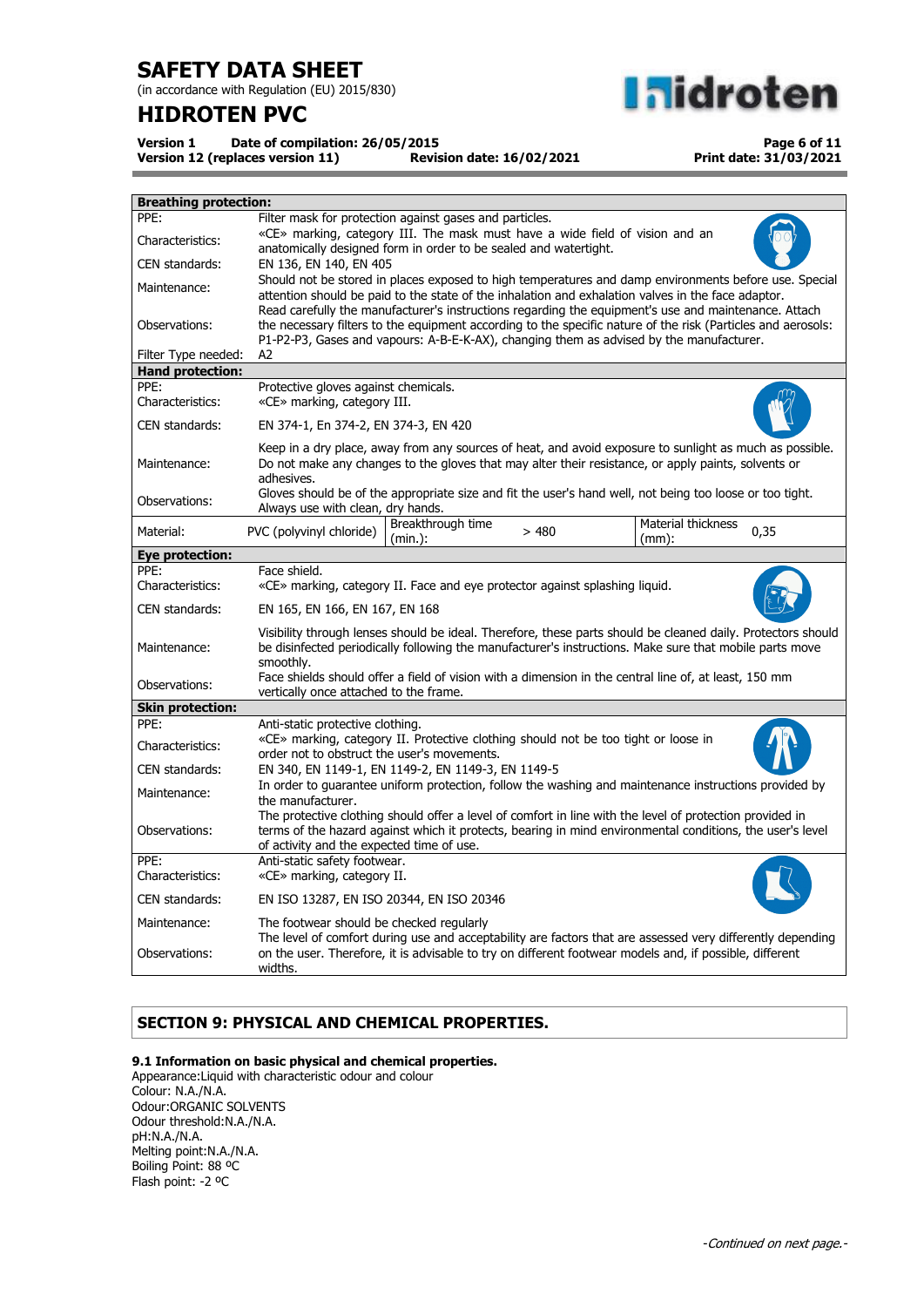(in accordance with Regulation (EU) 2015/830)

# **HIDROTEN PVC**



**Version 1 Date of compilation: 26/05/2015 Version 12 (replaces version 11)** 

**Page 6 of 11 Print date: 31/03/2021**

| <b>Breathing protection:</b> |                                                                                                                                                                                                                                                                                                                 |  |  |  |
|------------------------------|-----------------------------------------------------------------------------------------------------------------------------------------------------------------------------------------------------------------------------------------------------------------------------------------------------------------|--|--|--|
| PPE:                         | Filter mask for protection against gases and particles.                                                                                                                                                                                                                                                         |  |  |  |
| Characteristics:             | «CE» marking, category III. The mask must have a wide field of vision and an<br>anatomically designed form in order to be sealed and watertight.                                                                                                                                                                |  |  |  |
| CEN standards:               | EN 136, EN 140, EN 405                                                                                                                                                                                                                                                                                          |  |  |  |
| Maintenance:                 | Should not be stored in places exposed to high temperatures and damp environments before use. Special<br>attention should be paid to the state of the inhalation and exhalation valves in the face adaptor.                                                                                                     |  |  |  |
| Observations:                | Read carefully the manufacturer's instructions regarding the equipment's use and maintenance. Attach<br>the necessary filters to the equipment according to the specific nature of the risk (Particles and aerosols:<br>P1-P2-P3, Gases and vapours: A-B-E-K-AX), changing them as advised by the manufacturer. |  |  |  |
| Filter Type needed:          | A2                                                                                                                                                                                                                                                                                                              |  |  |  |
| <b>Hand protection:</b>      |                                                                                                                                                                                                                                                                                                                 |  |  |  |
| PPE:<br>Characteristics:     | Protective gloves against chemicals.<br>«CE» marking, category III.                                                                                                                                                                                                                                             |  |  |  |
| CEN standards:               | EN 374-1, En 374-2, EN 374-3, EN 420                                                                                                                                                                                                                                                                            |  |  |  |
| Maintenance:                 | Keep in a dry place, away from any sources of heat, and avoid exposure to sunlight as much as possible.<br>Do not make any changes to the gloves that may alter their resistance, or apply paints, solvents or<br>adhesives.                                                                                    |  |  |  |
| Observations:                | Gloves should be of the appropriate size and fit the user's hand well, not being too loose or too tight.<br>Always use with clean, dry hands.                                                                                                                                                                   |  |  |  |
| Material:                    | Material thickness<br>Breakthrough time<br>PVC (polyvinyl chloride)<br>0,35<br>>480<br>$(min.)$ :<br>$(mm)$ :                                                                                                                                                                                                   |  |  |  |
| Eye protection:              |                                                                                                                                                                                                                                                                                                                 |  |  |  |
| PPE:                         | Face shield.                                                                                                                                                                                                                                                                                                    |  |  |  |
| Characteristics:             | «CE» marking, category II. Face and eye protector against splashing liquid.                                                                                                                                                                                                                                     |  |  |  |
| CEN standards:               | EN 165, EN 166, EN 167, EN 168                                                                                                                                                                                                                                                                                  |  |  |  |
| Maintenance:                 | Visibility through lenses should be ideal. Therefore, these parts should be cleaned daily. Protectors should<br>be disinfected periodically following the manufacturer's instructions. Make sure that mobile parts move<br>smoothly.                                                                            |  |  |  |
| Observations:                | Face shields should offer a field of vision with a dimension in the central line of, at least, 150 mm<br>vertically once attached to the frame.                                                                                                                                                                 |  |  |  |
| <b>Skin protection:</b>      |                                                                                                                                                                                                                                                                                                                 |  |  |  |
| PPE:                         | Anti-static protective clothing.                                                                                                                                                                                                                                                                                |  |  |  |
| Characteristics:             | «CE» marking, category II. Protective clothing should not be too tight or loose in<br>order not to obstruct the user's movements.                                                                                                                                                                               |  |  |  |
| CEN standards:               | EN 340, EN 1149-1, EN 1149-2, EN 1149-3, EN 1149-5                                                                                                                                                                                                                                                              |  |  |  |
| Maintenance:                 | In order to guarantee uniform protection, follow the washing and maintenance instructions provided by<br>the manufacturer.                                                                                                                                                                                      |  |  |  |
| Observations:                | The protective clothing should offer a level of comfort in line with the level of protection provided in<br>terms of the hazard against which it protects, bearing in mind environmental conditions, the user's level<br>of activity and the expected time of use.                                              |  |  |  |
| PPE:<br>Characteristics:     | Anti-static safety footwear.<br>«CE» marking, category II.                                                                                                                                                                                                                                                      |  |  |  |
| CEN standards:               | EN ISO 13287, EN ISO 20344, EN ISO 20346                                                                                                                                                                                                                                                                        |  |  |  |
| Maintenance:                 | The footwear should be checked regularly<br>The level of comfort during use and acceptability are factors that are assessed very differently depending                                                                                                                                                          |  |  |  |
| Observations:                | on the user. Therefore, it is advisable to try on different footwear models and, if possible, different<br>widths.                                                                                                                                                                                              |  |  |  |

## **SECTION 9: PHYSICAL AND CHEMICAL PROPERTIES.**

### **9.1 Information on basic physical and chemical properties.**

Appearance:Liquid with characteristic odour and colour Colour: N.A./N.A. Odour:ORGANIC SOLVENTS Odour threshold:N.A./N.A. pH:N.A./N.A. Melting point:N.A./N.A. Boiling Point: 88 ºC Flash point: -2 ºC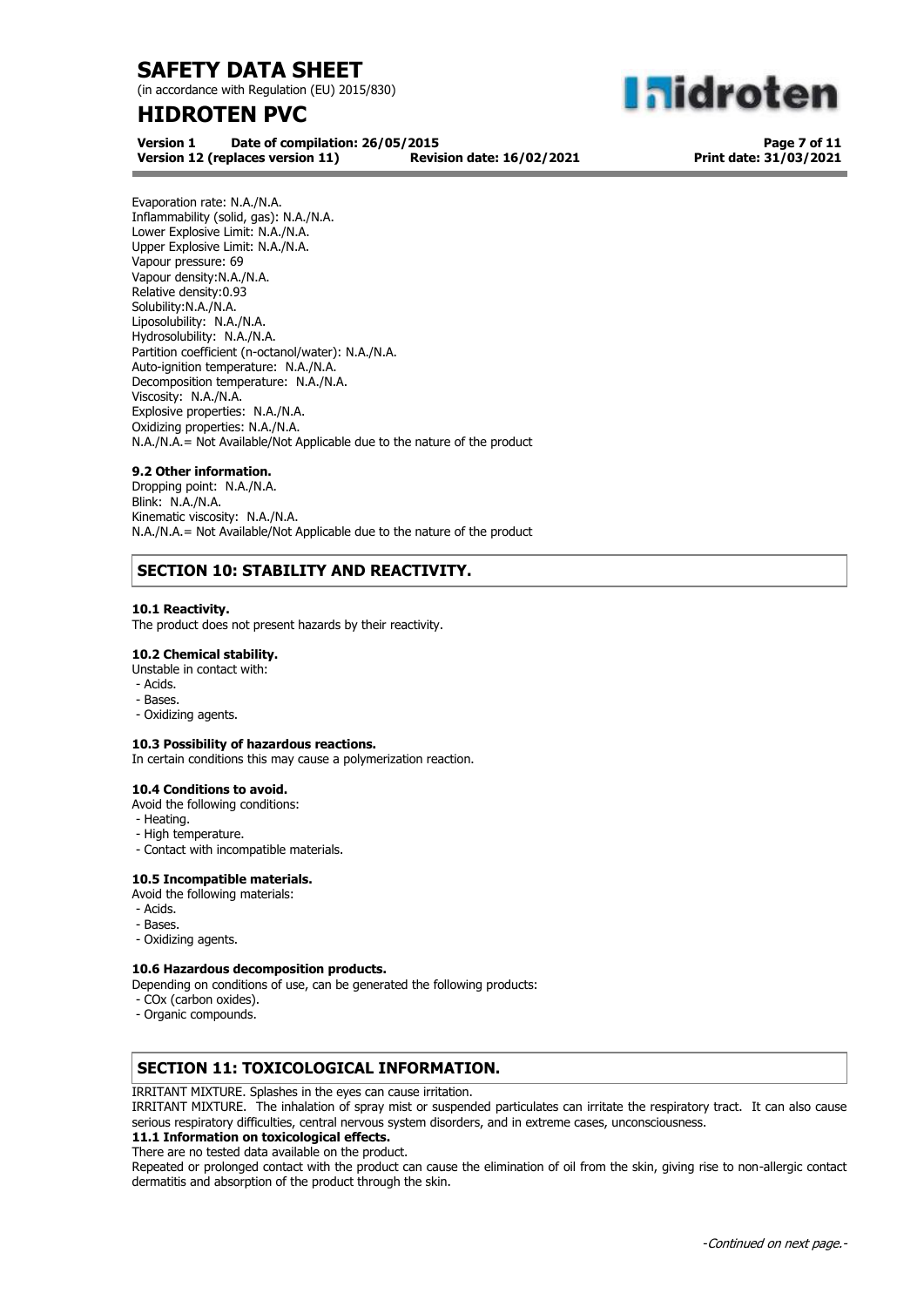(in accordance with Regulation (EU) 2015/830)

# **HIDROTEN PVC**

**aidroten** 

**Version 1 Date of compilation: 26/05/2015 Version 12 (replaces version 11)** 

**Page 7 of 11 Print date: 31/03/2021**

Evaporation rate: N.A./N.A. Inflammability (solid, gas): N.A./N.A. Lower Explosive Limit: N.A./N.A. Upper Explosive Limit: N.A./N.A. Vapour pressure: 69 Vapour density:N.A./N.A. Relative density:0.93 Solubility:N.A./N.A. Liposolubility: N.A./N.A. Hydrosolubility: N.A./N.A. Partition coefficient (n-octanol/water): N.A./N.A. Auto-ignition temperature: N.A./N.A. Decomposition temperature: N.A./N.A. Viscosity: N.A./N.A. Explosive properties: N.A./N.A. Oxidizing properties: N.A./N.A. N.A./N.A.= Not Available/Not Applicable due to the nature of the product

### **9.2 Other information.**

Dropping point: N.A./N.A. Blink: N.A./N.A. Kinematic viscosity: N.A./N.A. N.A./N.A.= Not Available/Not Applicable due to the nature of the product

## **SECTION 10: STABILITY AND REACTIVITY.**

### **10.1 Reactivity.**

The product does not present hazards by their reactivity.

### **10.2 Chemical stability.**

- Unstable in contact with:
- Acids.
- Bases.
- Oxidizing agents.

### **10.3 Possibility of hazardous reactions.**

In certain conditions this may cause a polymerization reaction.

#### **10.4 Conditions to avoid.**

Avoid the following conditions:

- Heating.
- High temperature.
- Contact with incompatible materials.

### **10.5 Incompatible materials.**

- Avoid the following materials:
- Acids.
- Bases.
- Oxidizing agents.

#### **10.6 Hazardous decomposition products.**

Depending on conditions of use, can be generated the following products:

- COx (carbon oxides).
- Organic compounds.

### **SECTION 11: TOXICOLOGICAL INFORMATION.**

IRRITANT MIXTURE. Splashes in the eyes can cause irritation.

IRRITANT MIXTURE. The inhalation of spray mist or suspended particulates can irritate the respiratory tract. It can also cause serious respiratory difficulties, central nervous system disorders, and in extreme cases, unconsciousness.

### **11.1 Information on toxicological effects.**

There are no tested data available on the product.

Repeated or prolonged contact with the product can cause the elimination of oil from the skin, giving rise to non-allergic contact dermatitis and absorption of the product through the skin.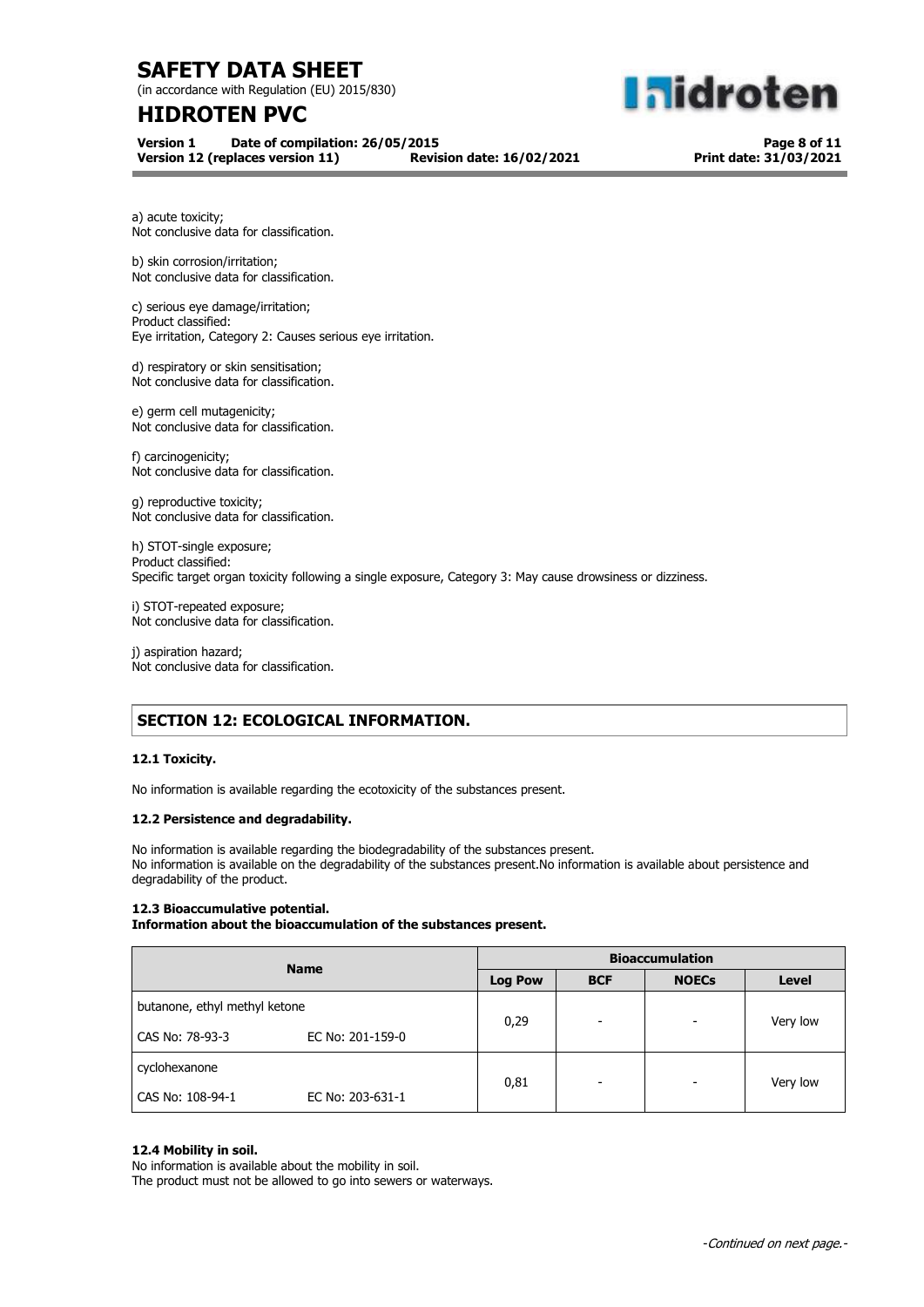(in accordance with Regulation (EU) 2015/830)

# **HIDROTEN PVC**

**Version 1 Date of compilation: 26/05/2015 Version 12 (replaces version 11)** 

**Page 8 of 11 Print date: 31/03/2021**

**Midroten** 

a) acute toxicity; Not conclusive data for classification.

b) skin corrosion/irritation; Not conclusive data for classification.

c) serious eye damage/irritation; Product classified: Eye irritation, Category 2: Causes serious eye irritation.

d) respiratory or skin sensitisation; Not conclusive data for classification.

e) germ cell mutagenicity; Not conclusive data for classification.

f) carcinogenicity; Not conclusive data for classification.

g) reproductive toxicity; Not conclusive data for classification.

h) STOT-single exposure; Product classified: Specific target organ toxicity following a single exposure, Category 3: May cause drowsiness or dizziness.

i) STOT-repeated exposure; Not conclusive data for classification.

j) aspiration hazard; Not conclusive data for classification.

## **SECTION 12: ECOLOGICAL INFORMATION.**

### **12.1 Toxicity.**

No information is available regarding the ecotoxicity of the substances present.

#### **12.2 Persistence and degradability.**

No information is available regarding the biodegradability of the substances present. No information is available on the degradability of the substances present.No information is available about persistence and degradability of the product.

### **12.3 Bioaccumulative potential.**

**Information about the bioaccumulation of the substances present.**

| <b>Name</b>                   |                  | <b>Bioaccumulation</b> |            |                          |          |
|-------------------------------|------------------|------------------------|------------|--------------------------|----------|
|                               |                  | <b>Log Pow</b>         | <b>BCF</b> | <b>NOECs</b>             | Level    |
| butanone, ethyl methyl ketone |                  |                        | ۰          | $\overline{\phantom{0}}$ |          |
| CAS No: 78-93-3               | EC No: 201-159-0 | 0,29                   |            |                          | Very low |
| cyclohexanone                 |                  |                        |            |                          |          |
| CAS No: 108-94-1              | EC No: 203-631-1 | 0,81                   | -          | $\overline{\phantom{0}}$ | Very low |

#### **12.4 Mobility in soil.**

No information is available about the mobility in soil.

The product must not be allowed to go into sewers or waterways.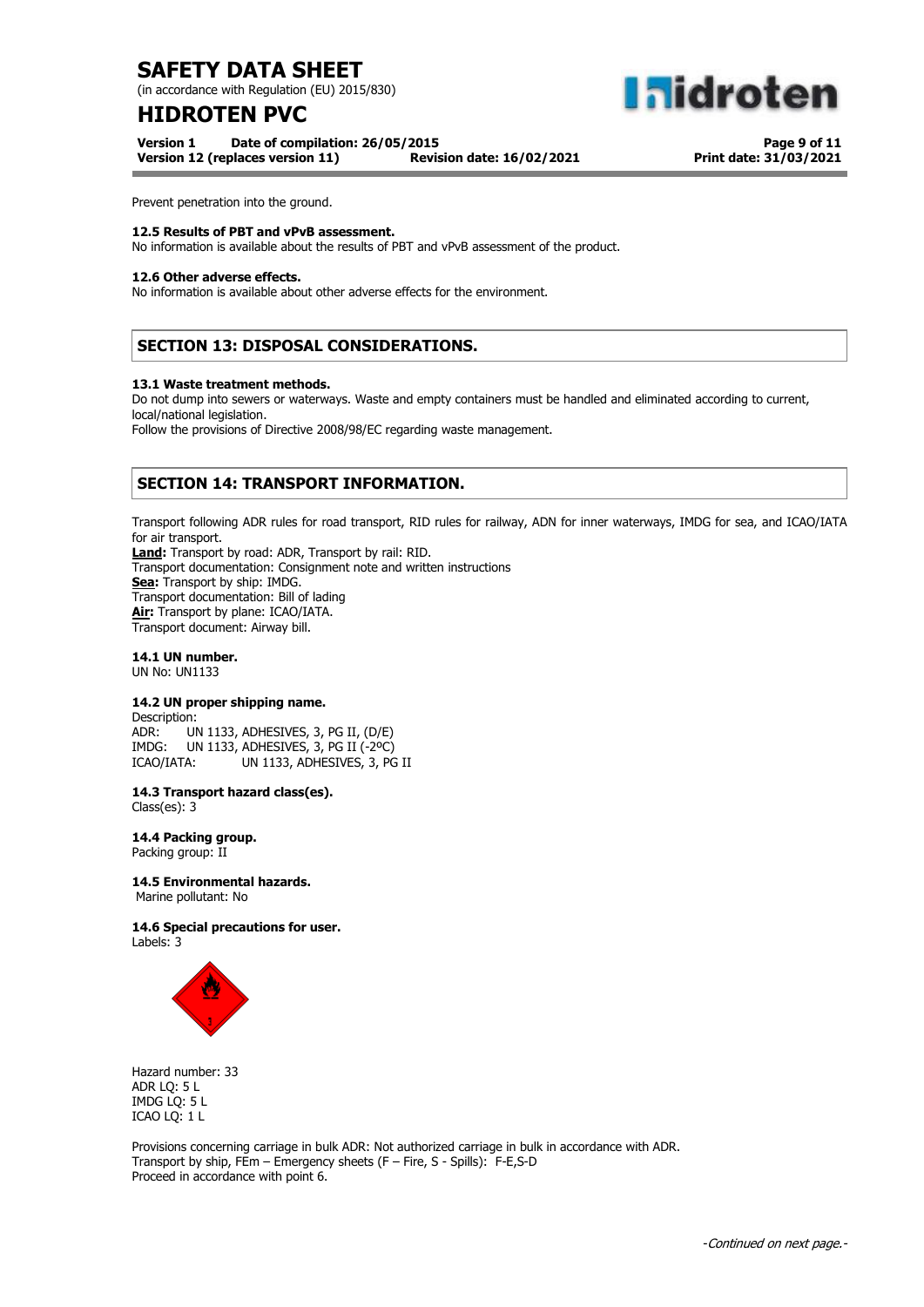(in accordance with Regulation (EU) 2015/830)

# **HIDROTEN PVC**

**Version 1 Date of compilation: 26/05/2015 Version 12 (replaces version 11)** 

**Page 9 of 11 Print date: 31/03/2021**

**aldroten** 

Prevent penetration into the ground.

#### **12.5 Results of PBT and vPvB assessment.**

No information is available about the results of PBT and vPvB assessment of the product.

#### **12.6 Other adverse effects.**

No information is available about other adverse effects for the environment.

## **SECTION 13: DISPOSAL CONSIDERATIONS.**

#### **13.1 Waste treatment methods.**

Do not dump into sewers or waterways. Waste and empty containers must be handled and eliminated according to current, local/national legislation.

Follow the provisions of Directive 2008/98/EC regarding waste management.

## **SECTION 14: TRANSPORT INFORMATION.**

Transport following ADR rules for road transport, RID rules for railway, ADN for inner waterways, IMDG for sea, and ICAO/IATA for air transport. **Land:** Transport by road: ADR, Transport by rail: RID. Transport documentation: Consignment note and written instructions **Sea:** Transport by ship: IMDG. Transport documentation: Bill of lading **Air:** Transport by plane: ICAO/IATA. Transport document: Airway bill.

## **14.1 UN number.**

UN No: UN1133

### **14.2 UN proper shipping name.**

Description: ADR: UN 1133, ADHESIVES, 3, PG II, (D/E) IMDG: UN 1133, ADHESIVES, 3, PG II (-2ºC) ICAO/IATA: UN 1133, ADHESIVES, 3, PG II

**14.3 Transport hazard class(es).**

Class(es): 3

**14.4 Packing group.** Packing group: II

#### **14.5 Environmental hazards.**

Marine pollutant: No

#### **14.6 Special precautions for user.** Labels: 3



Hazard number: 33 ADR LQ: 5 L IMDG LQ: 5 L ICAO LQ: 1 L

Provisions concerning carriage in bulk ADR: Not authorized carriage in bulk in accordance with ADR. Transport by ship, FEm – Emergency sheets (F – Fire, S - Spills): F-E,S-D Proceed in accordance with point 6.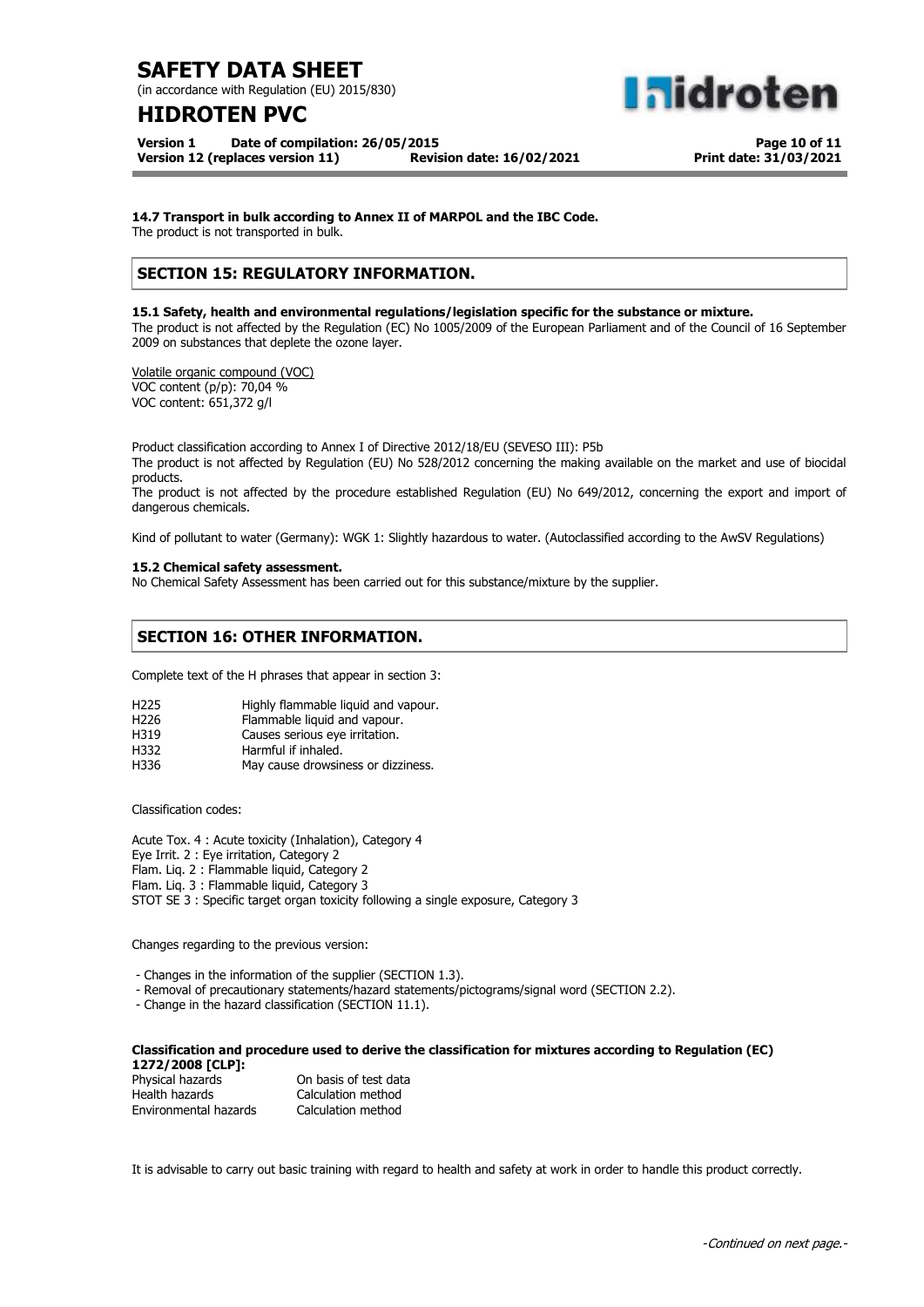(in accordance with Regulation (EU) 2015/830)

# **HIDROTEN PVC**

**Version 1 Date of compilation: 26/05/2015 Version 12 (replaces version 11) Revision date: 16/02/2021**

**Page 10 of 11 Print date: 31/03/2021**

**aidroten** 

**14.7 Transport in bulk according to Annex II of MARPOL and the IBC Code.**

The product is not transported in bulk.

## **SECTION 15: REGULATORY INFORMATION.**

**15.1 Safety, health and environmental regulations/legislation specific for the substance or mixture.** The product is not affected by the Regulation (EC) No 1005/2009 of the European Parliament and of the Council of 16 September 2009 on substances that deplete the ozone layer.

Volatile organic compound (VOC) VOC content (p/p): 70,04 % VOC content: 651,372 g/l

Product classification according to Annex I of Directive 2012/18/EU (SEVESO III): P5b The product is not affected by Regulation (EU) No 528/2012 concerning the making available on the market and use of biocidal products. The product is not affected by the procedure established Regulation (EU) No 649/2012, concerning the export and import of dangerous chemicals.

Kind of pollutant to water (Germany): WGK 1: Slightly hazardous to water. (Autoclassified according to the AwSV Regulations)

### **15.2 Chemical safety assessment.**

No Chemical Safety Assessment has been carried out for this substance/mixture by the supplier.

## **SECTION 16: OTHER INFORMATION.**

Complete text of the H phrases that appear in section 3:

| H <sub>225</sub> | Highly flammable liquid and vapour. |
|------------------|-------------------------------------|
|------------------|-------------------------------------|

| H <sub>226</sub> | Flammable liquid and vapour. |  |  |
|------------------|------------------------------|--|--|
|                  |                              |  |  |

H319 Causes serious eye irritation.

| H332 | Harmful if inhaled.                |
|------|------------------------------------|
| H336 | May cause drowsiness or dizziness. |

Classification codes:

Acute Tox. 4 : Acute toxicity (Inhalation), Category 4 Eye Irrit. 2 : Eye irritation, Category 2 Flam. Liq. 2 : Flammable liquid, Category 2 Flam. Liq. 3 : Flammable liquid, Category 3 STOT SE 3 : Specific target organ toxicity following a single exposure, Category 3

Changes regarding to the previous version:

- Changes in the information of the supplier (SECTION 1.3).

- Removal of precautionary statements/hazard statements/pictograms/signal word (SECTION 2.2).

- Change in the hazard classification (SECTION 11.1).

#### **Classification and procedure used to derive the classification for mixtures according to Regulation (EC) 1272/2008 [CLP]:**

| Physical hazards      | On basis of test data |
|-----------------------|-----------------------|
| Health hazards        | Calculation method    |
| Environmental hazards | Calculation method    |

It is advisable to carry out basic training with regard to health and safety at work in order to handle this product correctly.